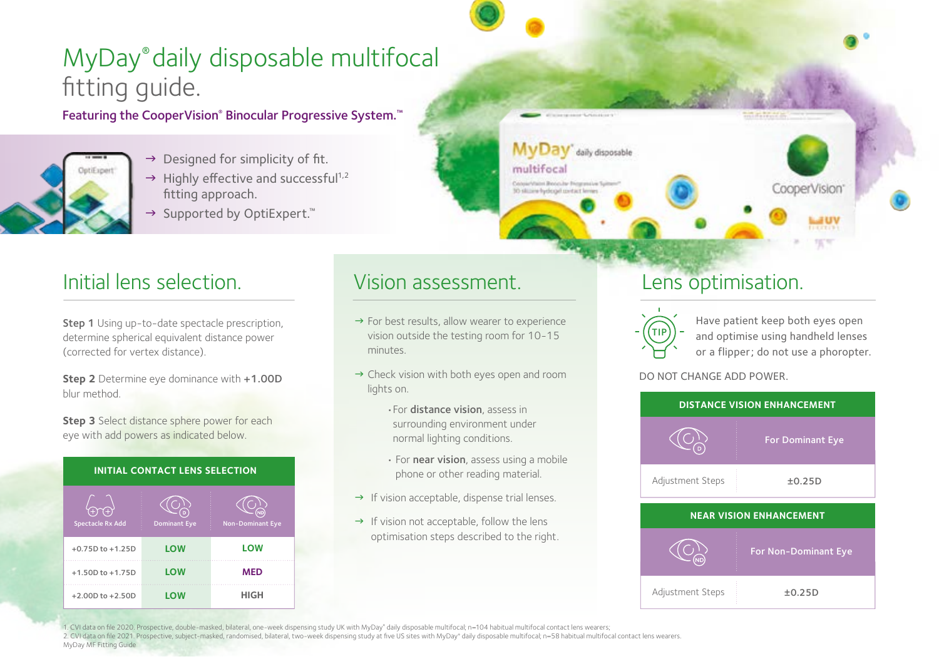# MyDay® daily disposable multifocal fitting guide.

Featuring the CooperVision® Binocular Progressive System.™



- $\rightarrow$  Designed for simplicity of fit.  $\rightarrow$  Highly effective and successful<sup>1,2</sup> fitting approach.
- → Supported by OptiExpert.<sup>™</sup>

## Initial lens selection. The Vision assessment. The Lens optimisation.

Step 1 Using up-to-date spectacle prescription, determine spherical equivalent distance power (corrected for vertex distance).

**Step 2** Determine eye dominance with +1.00D blur method.

**Step 3** Select distance sphere power for each eye with add powers as indicated below.

**INITIAL CONTACT LENS SELECTION**

| $^{(+)}$<br>Y+)<br><b>Spectacle Rx Add</b> | <b>Dominant Eye</b> | <b>Non-Dominant Eye</b> |
|--------------------------------------------|---------------------|-------------------------|
| $+0.75D$ to $+1.25D$                       | LOW                 | LOW                     |
| $+1.50D$ to $+1.75D$                       | LOW                 | <b>MED</b>              |
| $+2.00D$ to $+2.50D$                       | LOW                 | <b>HIGH</b>             |

- $\rightarrow$  For best results, allow wearer to experience vision outside the testing room for 10-15 minutes.
- $\rightarrow$  Check vision with both eyes open and room lights on.
	- •For distance vision, assess in surrounding environment under normal lighting conditions.
	- For near vision, assess using a mobile phone or other reading material.
- $\rightarrow$  If vision acceptable, dispense trial lenses.
- $\rightarrow$  If vision not acceptable, follow the lens optimisation steps described to the right.



daily disposable

multifocal

Conservant Bencular Biogram ive Suite

30 sitting hydropit metact lever

Have patient keep both eyes open and optimise using handheld lenses or a flipper; do not use a phoropter.

CooperVision

### DO NOT CHANGE ADD POWER.



1. CVI data on file 2020. Prospective, double-masked, bilateral, one-week dispensing study UK with MyDay® daily disposable multifocal; n=104 habitual multifocal contact lens wearers;

2. CVI data on file 2021. Prospective, subject-masked, randomised, bilateral, two-week dispensing study at five US sites with MyDay® daily disposable multifocal; n=58 habitual multifocal contact lens wearers. MyDay MF Fitting Guide